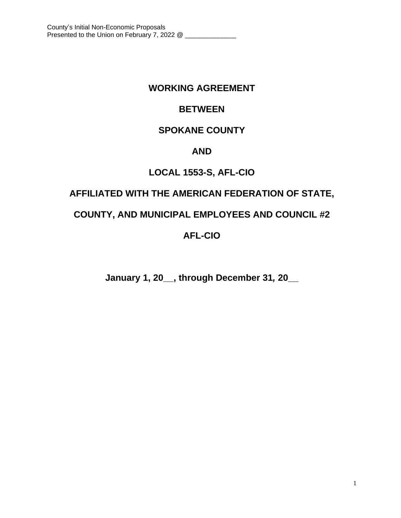# **WORKING AGREEMENT**

# **BETWEEN**

# **SPOKANE COUNTY**

# **AND**

# **LOCAL 1553-S, AFL-CIO**

# **AFFILIATED WITH THE AMERICAN FEDERATION OF STATE,**

# **COUNTY, AND MUNICIPAL EMPLOYEES AND COUNCIL #2**

# **AFL-CIO**

**January 1, 20\_\_, through December 31***,* **20\_\_**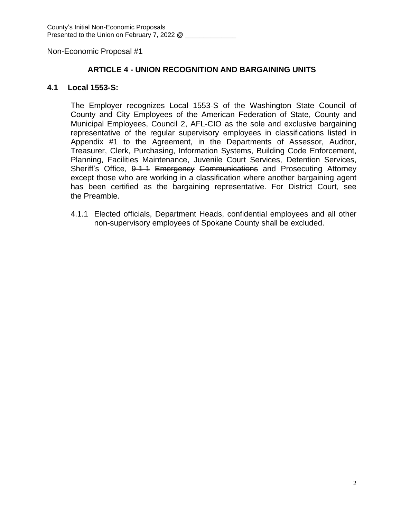## **ARTICLE 4 - UNION RECOGNITION AND BARGAINING UNITS**

## **4.1 Local 1553-S:**

The Employer recognizes Local 1553-S of the Washington State Council of County and City Employees of the American Federation of State, County and Municipal Employees, Council 2, AFL-CIO as the sole and exclusive bargaining representative of the regular supervisory employees in classifications listed in Appendix #1 to the Agreement, in the Departments of Assessor, Auditor, Treasurer, Clerk, Purchasing, Information Systems, Building Code Enforcement, Planning, Facilities Maintenance, Juvenile Court Services, Detention Services, Sheriff's Office, 9-1-1 Emergency Communications and Prosecuting Attorney except those who are working in a classification where another bargaining agent has been certified as the bargaining representative. For District Court, see the Preamble.

4.1.1 Elected officials, Department Heads, confidential employees and all other non-supervisory employees of Spokane County shall be excluded.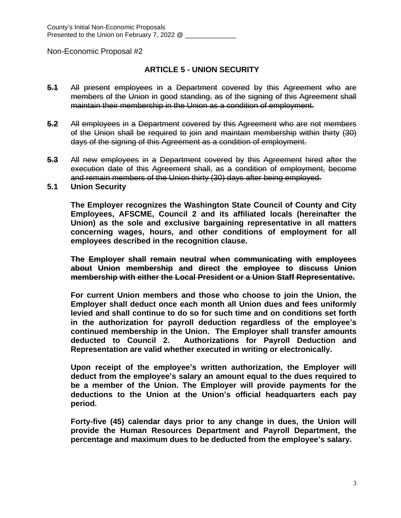## **ARTICLE 5 - UNION SECURITY**

- **5.1** All present employees in a Department covered by this Agreement who are members of the Union in good standing, as of the signing of this Agreement shall maintain their membership in the Union as a condition of employment.
- **5.2** All employees in a Department covered by this Agreement who are not members of the Union shall be required to join and maintain membership within thirty (30) days of the signing of this Agreement as a condition of employment.
- **5.3** All new employees in a Department covered by this Agreement hired after the execution date of this Agreement shall, as a condition of employment, become and remain members of the Union thirty (30) days after being employed.
- **5.1 Union Security**

**The Employer recognizes the Washington State Council of County and City Employees, AFSCME, Council 2 and its affiliated locals (hereinafter the Union) as the sole and exclusive bargaining representative in all matters concerning wages, hours, and other conditions of employment for all employees described in the recognition clause.**

**The Employer shall remain neutral when communicating with employees about Union membership and direct the employee to discuss Union membership with either the Local President or a Union Staff Representative.**

**For current Union members and those who choose to join the Union, the Employer shall deduct once each month all Union dues and fees uniformly levied and shall continue to do so for such time and on conditions set forth in the authorization for payroll deduction regardless of the employee's continued membership in the Union. The Employer shall transfer amounts deducted to Council 2. Authorizations for Payroll Deduction and Representation are valid whether executed in writing or electronically.**

**Upon receipt of the employee's written authorization, the Employer will deduct from the employee's salary an amount equal to the dues required to be a member of the Union. The Employer will provide payments for the deductions to the Union at the Union's official headquarters each pay period.** 

**Forty-five (45) calendar days prior to any change in dues, the Union will provide the Human Resources Department and Payroll Department, the percentage and maximum dues to be deducted from the employee's salary.**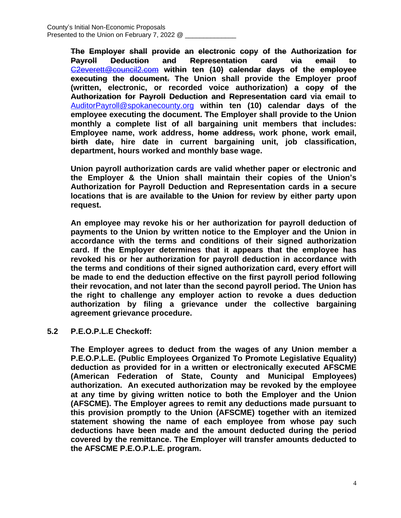**The Employer shall provide an electronic copy of the Authorization for Payroll Deduction and Representation card via email to** [C2everett@council2.com](mailto:C2everett@council2.com) **within ten (10) calendar days of the employee executing the document. The Union shall provide the Employer proof (written, electronic, or recorded voice authorization) a copy of the Authorization for Payroll Deduction and Representation card via email to** [AuditorPayroll@spokanecounty.org](mailto:AuditorPayroll@spokanecounty.org) **within ten (10) calendar days of the employee executing the document. The Employer shall provide to the Union monthly a complete list of all bargaining unit members that includes: Employee name, work address, home address, work phone, work email, birth date, hire date in current bargaining unit, job classification, department, hours worked and monthly base wage.**

**Union payroll authorization cards are valid whether paper or electronic and the Employer & the Union shall maintain their copies of the Union's Authorization for Payroll Deduction and Representation cards in a secure locations that is are available to the Union for review by either party upon request.**

**An employee may revoke his or her authorization for payroll deduction of payments to the Union by written notice to the Employer and the Union in accordance with the terms and conditions of their signed authorization card. If the Employer determines that it appears that the employee has revoked his or her authorization for payroll deduction in accordance with the terms and conditions of their signed authorization card, every effort will be made to end the deduction effective on the first payroll period following their revocation, and not later than the second payroll period. The Union has the right to challenge any employer action to revoke a dues deduction authorization by filing a grievance under the collective bargaining agreement grievance procedure.**

## **5.2 P.E.O.P.L.E Checkoff:**

**The Employer agrees to deduct from the wages of any Union member a P.E.O.P.L.E. (Public Employees Organized To Promote Legislative Equality) deduction as provided for in a written or electronically executed AFSCME (American Federation of State, County and Municipal Employees) authorization. An executed authorization may be revoked by the employee at any time by giving written notice to both the Employer and the Union (AFSCME). The Employer agrees to remit any deductions made pursuant to this provision promptly to the Union (AFSCME) together with an itemized statement showing the name of each employee from whose pay such deductions have been made and the amount deducted during the period covered by the remittance. The Employer will transfer amounts deducted to the AFSCME P.E.O.P.L.E. program.**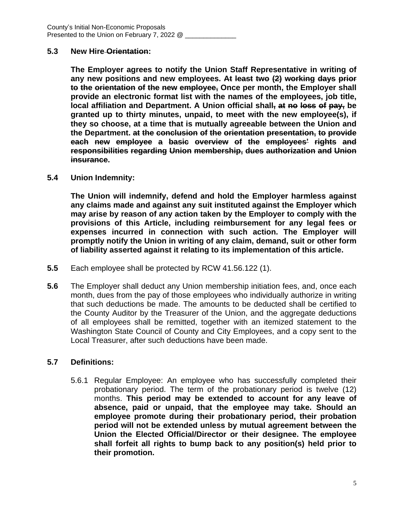#### **5.3 New Hire Orientation:**

**The Employer agrees to notify the Union Staff Representative in writing of any new positions and new employees. At least two (2) working days prior to the orientation of the new employee, Once per month, the Employer shall provide an electronic format list with the names of the employees, job title, local affiliation and Department. A Union official shall, at no loss of pay, be granted up to thirty minutes, unpaid, to meet with the new employee(s), if they so choose, at a time that is mutually agreeable between the Union and the Department. at the conclusion of the orientation presentation, to provide each new employee a basic overview of the employees' rights and responsibilities regarding Union membership, dues authorization and Union insurance.**

#### **5.4 Union Indemnity:**

**The Union will indemnify, defend and hold the Employer harmless against any claims made and against any suit instituted against the Employer which may arise by reason of any action taken by the Employer to comply with the provisions of this Article, including reimbursement for any legal fees or expenses incurred in connection with such action. The Employer will promptly notify the Union in writing of any claim, demand, suit or other form of liability asserted against it relating to its implementation of this article.**

- **5.5** Each employee shall be protected by RCW 41.56.122 (1).
- **5.6** The Employer shall deduct any Union membership initiation fees, and, once each month, dues from the pay of those employees who individually authorize in writing that such deductions be made. The amounts to be deducted shall be certified to the County Auditor by the Treasurer of the Union, and the aggregate deductions of all employees shall be remitted, together with an itemized statement to the Washington State Council of County and City Employees, and a copy sent to the Local Treasurer, after such deductions have been made.

## **5.7 Definitions:**

5.6.1 Regular Employee: An employee who has successfully completed their probationary period. The term of the probationary period is twelve (12) months. **This period may be extended to account for any leave of absence, paid or unpaid, that the employee may take. Should an employee promote during their probationary period, their probation period will not be extended unless by mutual agreement between the Union the Elected Official/Director or their designee. The employee shall forfeit all rights to bump back to any position(s) held prior to their promotion.**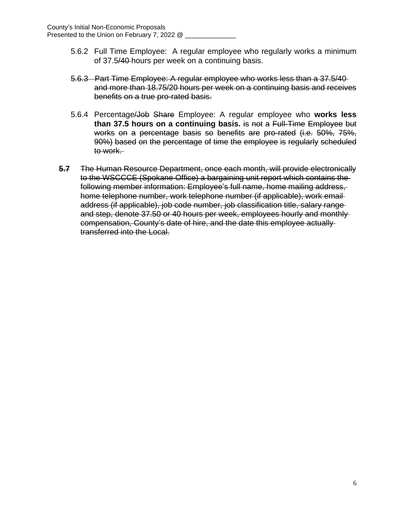- 5.6.2 Full Time Employee: A regular employee who regularly works a minimum of 37.5/40 hours per week on a continuing basis.
- 5.6.3 Part Time Employee: A regular employee who works less than a 37.5/40 and more than 18.75/20 hours per week on a continuing basis and receives benefits on a true pro-rated basis.
- 5.6.4 Percentage/Job Share Employee: A regular employee who **works less than 37.5 hours on a continuing basis.** is not a Full-Time Employee but works on a percentage basis so benefits are pro-rated (i.e. 50%, 75%, 90%) based on the percentage of time the employee is regularly scheduled to work.
- **5.7** The Human Resource Department, once each month, will provide electronically to the WSCCCE (Spokane Office) a bargaining unit report which contains the following member information: Employee's full name, home mailing address, home telephone number, work telephone number (if applicable), work email address (if applicable), job code number, job classification title, salary range and step, denote 37.50 or 40 hours per week, employees hourly and monthly compensation, County's date of hire, and the date this employee actually transferred into the Local.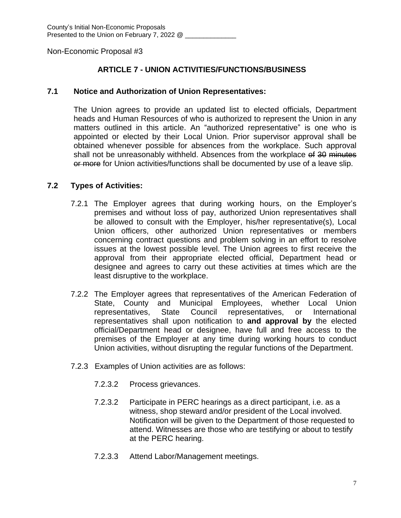## **ARTICLE 7 - UNION ACTIVITIES/FUNCTIONS/BUSINESS**

## **7.1 Notice and Authorization of Union Representatives:**

The Union agrees to provide an updated list to elected officials, Department heads and Human Resources of who is authorized to represent the Union in any matters outlined in this article. An "authorized representative" is one who is appointed or elected by their Local Union. Prior supervisor approval shall be obtained whenever possible for absences from the workplace. Such approval shall not be unreasonably withheld. Absences from the workplace of 30 minutes or more for Union activities/functions shall be documented by use of a leave slip.

## **7.2 Types of Activities:**

- 7.2.1 The Employer agrees that during working hours, on the Employer's premises and without loss of pay, authorized Union representatives shall be allowed to consult with the Employer, his/her representative(s), Local Union officers, other authorized Union representatives or members concerning contract questions and problem solving in an effort to resolve issues at the lowest possible level. The Union agrees to first receive the approval from their appropriate elected official, Department head or designee and agrees to carry out these activities at times which are the least disruptive to the workplace.
- 7.2.2 The Employer agrees that representatives of the American Federation of State, County and Municipal Employees, whether Local Union representatives, State Council representatives, or International representatives shall upon notification to **and approval by** the elected official/Department head or designee, have full and free access to the premises of the Employer at any time during working hours to conduct Union activities, without disrupting the regular functions of the Department.
- 7.2.3 Examples of Union activities are as follows:
	- 7.2.3.2 Process grievances.
	- 7.2.3.2 Participate in PERC hearings as a direct participant, i.e. as a witness, shop steward and/or president of the Local involved. Notification will be given to the Department of those requested to attend. Witnesses are those who are testifying or about to testify at the PERC hearing.
	- 7.2.3.3 Attend Labor/Management meetings.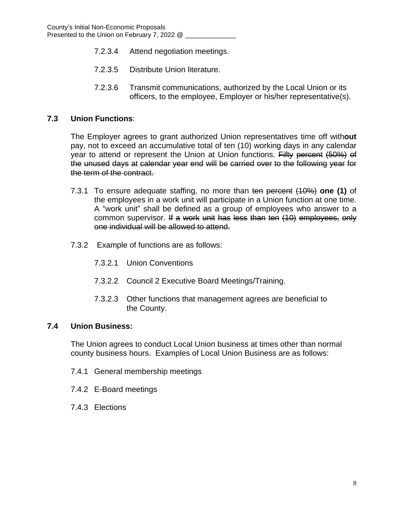- 7.2.3.4 Attend negotiation meetings.
- 7.2.3.5 Distribute Union literature.
- 7.2.3.6 Transmit communications, authorized by the Local Union or its officers, to the employee, Employer or his/her representative(s).

## **7.3 Union Functions**:

The Employer agrees to grant authorized Union representatives time off with**out** pay, not to exceed an accumulative total of ten (10) working days in any calendar year to attend or represent the Union at Union functions. Fifty percent (50%) of the unused days at calendar year end will be carried over to the following year for the term of the contract.

- 7.3.1 To ensure adequate staffing, no more than ten percent (10%) **one (1)** of the employees in a work unit will participate in a Union function at one time. A "work unit" shall be defined as a group of employees who answer to a common supervisor. If a work unit has less than ten (10) employees, only one individual will be allowed to attend.
- 7.3.2 Example of functions are as follows:
	- 7.3.2.1 Union Conventions
	- 7.3.2.2 Council 2 Executive Board Meetings/Training.
	- 7.3.2.3 Other functions that management agrees are beneficial to the County.

## **7.4 Union Business:**

The Union agrees to conduct Local Union business at times other than normal county business hours. Examples of Local Union Business are as follows:

- 7.4.1 General membership meetings
- 7.4.2 E-Board meetings
- 7.4.3 Elections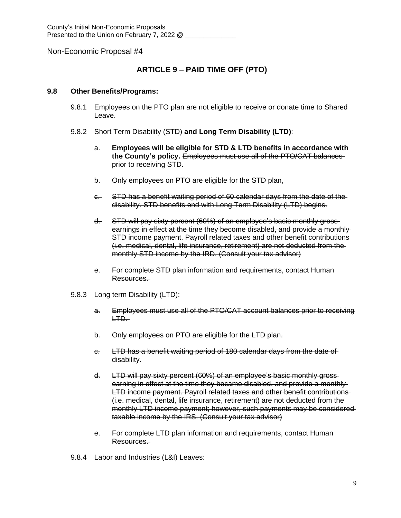## **ARTICLE 9 – PAID TIME OFF (PTO)**

#### **9.8 Other Benefits/Programs:**

- 9.8.1 Employees on the PTO plan are not eligible to receive or donate time to Shared Leave.
- 9.8.2 Short Term Disability (STD) **and Long Term Disability (LTD)**:
	- a. **Employees will be eligible for STD & LTD benefits in accordance with the County's policy.** Employees must use all of the PTO/CAT balances prior to receiving STD.
	- b. Only employees on PTO are eligible for the STD plan,
	- c. STD has a benefit waiting period of 60 calendar days from the date of the disability. STD benefits end with Long Term Disability (LTD) begins.
	- d. STD will pay sixty percent (60%) of an employee's basic monthly gross earnings in effect at the time they become disabled, and provide a monthly STD income payment. Payroll related taxes and other benefit contributions (i.e. medical, dental, life insurance, retirement) are not deducted from the monthly STD income by the IRD. (Consult your tax advisor)
	- e. For complete STD plan information and requirements, contact Human-Resources.
- 9.8.3 Long term Disability (LTD):
	- a. Employees must use all of the PTO/CAT account balances prior to receiving LTD.
	- b. Only employees on PTO are eligible for the LTD plan.
	- c. LTD has a benefit waiting period of 180 calendar days from the date of disability.
	- d. LTD will pay sixty percent (60%) of an employee's basic monthly gross earning in effect at the time they became disabled, and provide a monthly LTD income payment. Payroll related taxes and other benefit contributions (i.e. medical, dental, life insurance, retirement) are not deducted from the monthly LTD income payment; however, such payments may be considered taxable income by the IRS. (Consult your tax advisor)
	- e. For complete LTD plan information and requirements, contact Human Resources.
- 9.8.4 Labor and Industries (L&I) Leaves: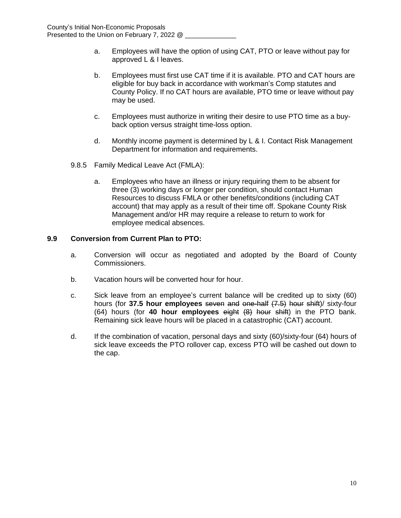- a. Employees will have the option of using CAT, PTO or leave without pay for approved L & I leaves.
- b. Employees must first use CAT time if it is available. PTO and CAT hours are eligible for buy back in accordance with workman's Comp statutes and County Policy. If no CAT hours are available, PTO time or leave without pay may be used.
- c. Employees must authorize in writing their desire to use PTO time as a buyback option versus straight time-loss option.
- d. Monthly income payment is determined by L & I. Contact Risk Management Department for information and requirements.
- 9.8.5 Family Medical Leave Act (FMLA):
	- a. Employees who have an illness or injury requiring them to be absent for three (3) working days or longer per condition, should contact Human Resources to discuss FMLA or other benefits/conditions (including CAT account) that may apply as a result of their time off. Spokane County Risk Management and/or HR may require a release to return to work for employee medical absences.

#### **9.9 Conversion from Current Plan to PTO:**

- a. Conversion will occur as negotiated and adopted by the Board of County Commissioners.
- b. Vacation hours will be converted hour for hour.
- c. Sick leave from an employee's current balance will be credited up to sixty (60) hours (for **37.5 hour employees** seven and one-half (7.5) hour shift)/ sixty-four (64) hours (for **40 hour employees** eight (8) hour shift) in the PTO bank. Remaining sick leave hours will be placed in a catastrophic (CAT) account.
- d. If the combination of vacation, personal days and sixty (60)/sixty-four (64) hours of sick leave exceeds the PTO rollover cap, excess PTO will be cashed out down to the cap.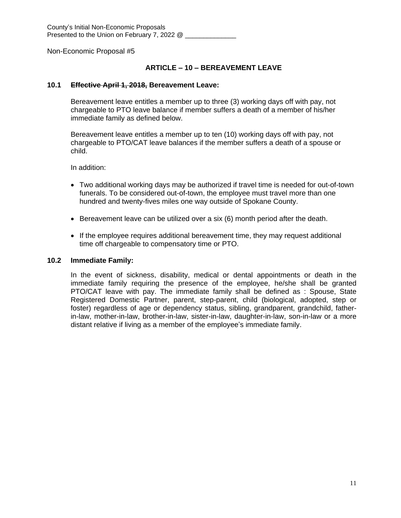#### **ARTICLE – 10 – BEREAVEMENT LEAVE**

#### **10.1 Effective April 1, 2018, Bereavement Leave:**

Bereavement leave entitles a member up to three (3) working days off with pay, not chargeable to PTO leave balance if member suffers a death of a member of his/her immediate family as defined below.

Bereavement leave entitles a member up to ten (10) working days off with pay, not chargeable to PTO/CAT leave balances if the member suffers a death of a spouse or child.

In addition:

- Two additional working days may be authorized if travel time is needed for out-of-town funerals. To be considered out-of-town, the employee must travel more than one hundred and twenty-fives miles one way outside of Spokane County.
- **Bereavement leave can be utilized over a six (6) month period after the death.**
- If the employee requires additional bereavement time, they may request additional time off chargeable to compensatory time or PTO.

#### **10.2 Immediate Family:**

In the event of sickness, disability, medical or dental appointments or death in the immediate family requiring the presence of the employee, he/she shall be granted PTO/CAT leave with pay. The immediate family shall be defined as : Spouse, State Registered Domestic Partner, parent, step-parent, child (biological, adopted, step or foster) regardless of age or dependency status, sibling, grandparent, grandchild, fatherin-law, mother-in-law, brother-in-law, sister-in-law, daughter-in-law, son-in-law or a more distant relative if living as a member of the employee's immediate family.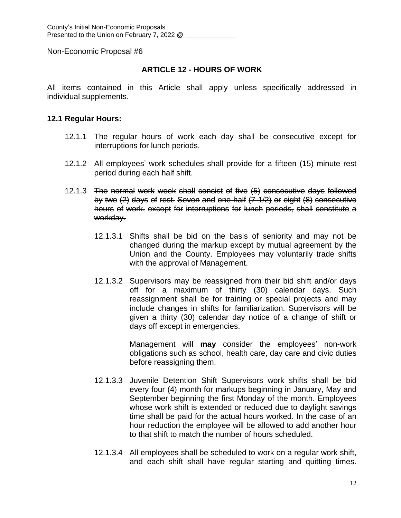## **ARTICLE 12 - HOURS OF WORK**

All items contained in this Article shall apply unless specifically addressed in individual supplements.

## **12.1 Regular Hours:**

- 12.1.1 The regular hours of work each day shall be consecutive except for interruptions for lunch periods.
- 12.1.2 All employees' work schedules shall provide for a fifteen (15) minute rest period during each half shift.
- 12.1.3 The normal work week shall consist of five (5) consecutive days followed by two (2) days of rest. Seven and one-half (7-1/2) or eight (8) consecutive hours of work, except for interruptions for lunch periods, shall constitute a workday.
	- 12.1.3.1 Shifts shall be bid on the basis of seniority and may not be changed during the markup except by mutual agreement by the Union and the County. Employees may voluntarily trade shifts with the approval of Management.
	- 12.1.3.2 Supervisors may be reassigned from their bid shift and/or days off for a maximum of thirty (30) calendar days. Such reassignment shall be for training or special projects and may include changes in shifts for familiarization. Supervisors will be given a thirty (30) calendar day notice of a change of shift or days off except in emergencies.

Management will **may** consider the employees' non-work obligations such as school, health care, day care and civic duties before reassigning them.

- 12.1.3.3 Juvenile Detention Shift Supervisors work shifts shall be bid every four (4) month for markups beginning in January, May and September beginning the first Monday of the month. Employees whose work shift is extended or reduced due to daylight savings time shall be paid for the actual hours worked. In the case of an hour reduction the employee will be allowed to add another hour to that shift to match the number of hours scheduled.
- 12.1.3.4 All employees shall be scheduled to work on a regular work shift, and each shift shall have regular starting and quitting times.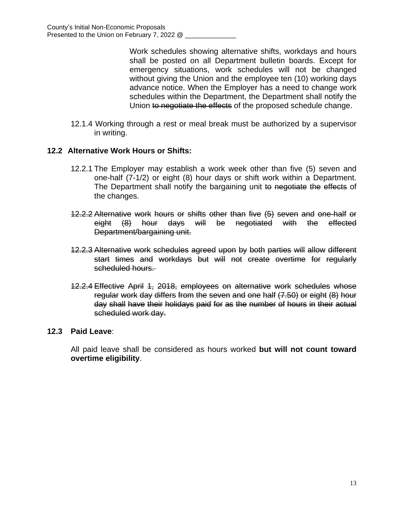Work schedules showing alternative shifts, workdays and hours shall be posted on all Department bulletin boards. Except for emergency situations, work schedules will not be changed without giving the Union and the employee ten (10) working days advance notice. When the Employer has a need to change work schedules within the Department, the Department shall notify the Union to negotiate the effects of the proposed schedule change.

12.1.4 Working through a rest or meal break must be authorized by a supervisor in writing.

## **12.2 Alternative Work Hours or Shifts:**

- 12.2.1 The Employer may establish a work week other than five (5) seven and one-half (7-1/2) or eight (8) hour days or shift work within a Department. The Department shall notify the bargaining unit to negotiate the effects of the changes.
- 12.2.2 Alternative work hours or shifts other than five (5) seven and one-half or eight (8) hour days will be negotiated with the effected Department/bargaining unit.
- 12.2.3 Alternative work schedules agreed upon by both parties will allow different start times and workdays but will not create overtime for regularly scheduled hours.
- 12.2.4 Effective April 1, 2018, employees on alternative work schedules whose regular work day differs from the seven and one half (7.50) or eight (8) hour day shall have their holidays paid for as the number of hours in their actual scheduled work day.

## **12.3 Paid Leave**:

All paid leave shall be considered as hours worked **but will not count toward overtime eligibility**.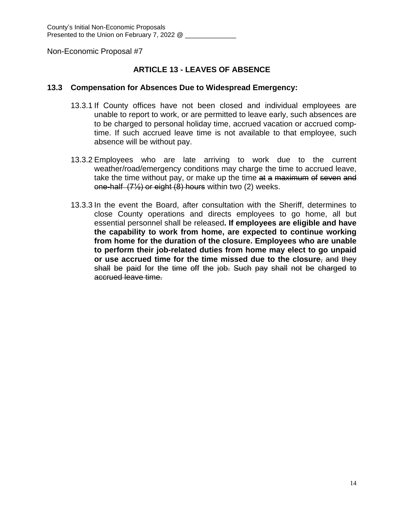## **ARTICLE 13 - LEAVES OF ABSENCE**

#### **13.3 Compensation for Absences Due to Widespread Emergency:**

- 13.3.1 If County offices have not been closed and individual employees are unable to report to work, or are permitted to leave early, such absences are to be charged to personal holiday time, accrued vacation or accrued comptime. If such accrued leave time is not available to that employee, such absence will be without pay.
- 13.3.2 Employees who are late arriving to work due to the current weather/road/emergency conditions may charge the time to accrued leave, take the time without pay, or make up the time at a maximum of seven and one-half (7½) or eight (8) hours within two (2) weeks.
- 13.3.3 In the event the Board, after consultation with the Sheriff, determines to close County operations and directs employees to go home, all but essential personnel shall be released**. If employees are eligible and have the capability to work from home, are expected to continue working from home for the duration of the closure. Employees who are unable to perform their job-related duties from home may elect to go unpaid or use accrued time for the time missed due to the closure**, and they shall be paid for the time off the job. Such pay shall not be charged to accrued leave time.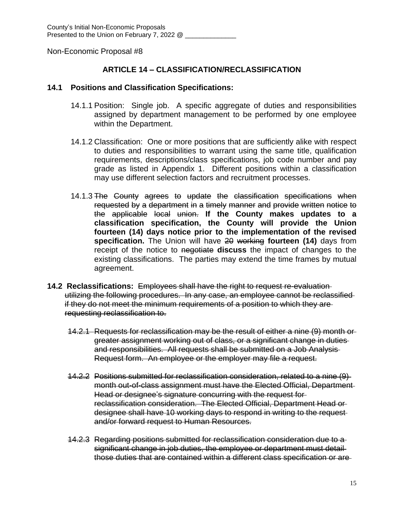## **ARTICLE 14 – CLASSIFICATION/RECLASSIFICATION**

#### **14.1 Positions and Classification Specifications:**

- 14.1.1 Position: Single job. A specific aggregate of duties and responsibilities assigned by department management to be performed by one employee within the Department.
- 14.1.2 Classification: One or more positions that are sufficiently alike with respect to duties and responsibilities to warrant using the same title, qualification requirements, descriptions/class specifications, job code number and pay grade as listed in Appendix 1. Different positions within a classification may use different selection factors and recruitment processes.
- 14.1.3 The County agrees to update the classification specifications when requested by a department in a timely manner and provide written notice to the applicable local union. **If the County makes updates to a classification specification, the County will provide the Union fourteen (14) days notice prior to the implementation of the revised specification.** The Union will have 20 working **fourteen (14)** days from receipt of the notice to negotiate **discuss** the impact of changes to the existing classifications. The parties may extend the time frames by mutual agreement.
- **14.2 Reclassifications:** Employees shall have the right to request re-evaluation utilizing the following procedures. In any case, an employee cannot be reclassified if they do not meet the minimum requirements of a position to which they are requesting reclassification to.
	- 14.2.1 Requests for reclassification may be the result of either a nine (9) month or greater assignment working out of class, or a significant change in duties and responsibilities. All requests shall be submitted on a Job Analysis Request form. An employee or the employer may file a request.
	- 14.2.2 Positions submitted for reclassification consideration, related to a nine (9) month out-of-class assignment must have the Elected Official, Department Head or designee's signature concurring with the request for reclassification consideration. The Elected Official, Department Head or designee shall have 10 working days to respond in writing to the request and/or forward request to Human Resources.
	- 14.2.3 Regarding positions submitted for reclassification consideration due to a significant change in job duties, the employee or department must detail those duties that are contained within a different class specification or are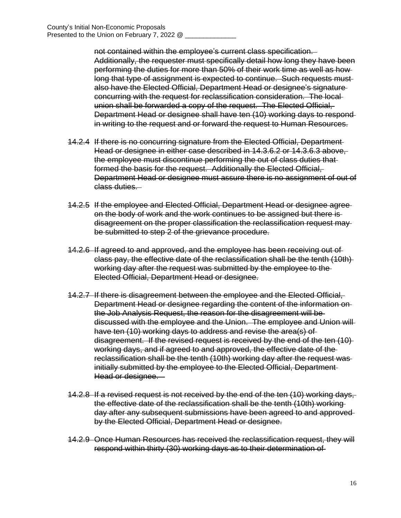not contained within the employee's current class specification. Additionally, the requester must specifically detail how long they have been performing the duties for more than 50% of their work time as well as how long that type of assignment is expected to continue. Such requests mustalso have the Elected Official, Department Head or designee's signature concurring with the request for reclassification consideration. The local union shall be forwarded a copy of the request. The Elected Official, Department Head or designee shall have ten (10) working days to respond in writing to the request and or forward the request to Human Resources.

- 14.2.4 If there is no concurring signature from the Elected Official, Department Head or designee in either case described in 14.3.6.2 or 14.3.6.3 above, the employee must discontinue performing the out of class duties that formed the basis for the request. Additionally the Elected Official, Department Head or designee must assure there is no assignment of out of class duties.
- 14.2.5 If the employee and Elected Official, Department Head or designee agree on the body of work and the work continues to be assigned but there is disagreement on the proper classification the reclassification request may be submitted to step 2 of the grievance procedure.
- 14.2.6 If agreed to and approved, and the employee has been receiving out of class pay, the effective date of the reclassification shall be the tenth (10th) working day after the request was submitted by the employee to the Elected Official, Department Head or designee.
- 14.2.7 If there is disagreement between the employee and the Elected Official, Department Head or designee regarding the content of the information on the Job Analysis Request, the reason for the disagreement will be discussed with the employee and the Union. The employee and Union will have ten (10) working days to address and revise the area(s) of disagreement. If the revised request is received by the end of the ten (10) working days, and if agreed to and approved, the effective date of the reclassification shall be the tenth (10th) working day after the request was initially submitted by the employee to the Elected Official, Department Head or designee.
- 14.2.8 If a revised request is not received by the end of the ten (10) working days, the effective date of the reclassification shall be the tenth (10th) working day after any subsequent submissions have been agreed to and approved by the Elected Official, Department Head or designee.
- 14.2.9 Once Human Resources has received the reclassification request, they will respond within thirty (30) working days as to their determination of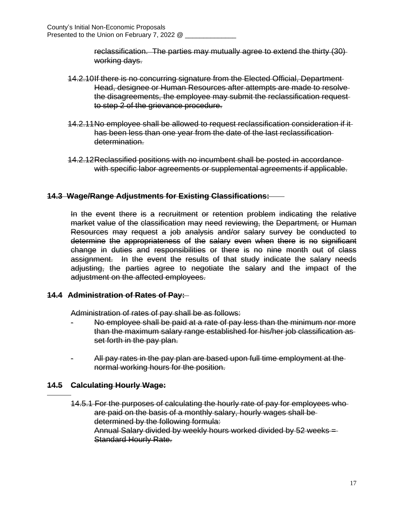reclassification. The parties may mutually agree to extend the thirty (30) working days.

- 14.2.10If there is no concurring signature from the Elected Official, Department Head, designee or Human Resources after attempts are made to resolve the disagreements, the employee may submit the reclassification request to step 2 of the grievance procedure.
- 14.2.11No employee shall be allowed to request reclassification consideration if it has been less than one year from the date of the last reclassification determination.
- 14.2.12Reclassified positions with no incumbent shall be posted in accordance with specific labor agreements or supplemental agreements if applicable.

## **14.3 Wage/Range Adjustments for Existing Classifications:**

In the event there is a recruitment or retention problem indicating the relative market value of the classification may need reviewing, the Department*,* or Human Resources may request a job analysis and/or salary survey be conducted to determine the appropriateness of the salary even when there is no significant change in duties and responsibilities or there is no nine month out of class assignment. In the event the results of that study indicate the salary needs adjusting, the parties agree to negotiate the salary and the impact of the adjustment on the affected employees.

## **14.4 Administration of Rates of Pay:**

Administration of rates of pay shall be as follows:

- No employee shall be paid at a rate of pay less than the minimum nor more than the maximum salary range established for his/her job classification as set forth in the pay plan.
- All pay rates in the pay plan are based upon full time employment at the normal working hours for the position.

## **14.5 Calculating Hourly Wage:**

 $\overline{a}$ 

14.5.1 For the purposes of calculating the hourly rate of pay for employees who are paid on the basis of a monthly salary, hourly wages shall be determined by the following formula: Annual Salary divided by weekly hours worked divided by 52 weeks = Standard Hourly Rate.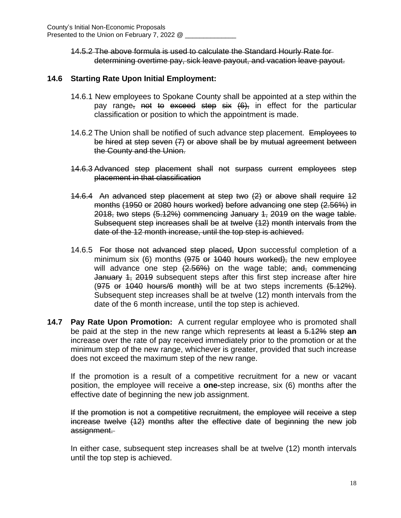14.5.2 The above formula is used to calculate the Standard Hourly Rate for determining overtime pay, sick leave payout, and vacation leave payout.

## **14.6 Starting Rate Upon Initial Employment:**

- 14.6.1 New employees to Spokane County shall be appointed at a step within the pay range, not to exceed step six (6), in effect for the particular classification or position to which the appointment is made.
- 14.6.2 The Union shall be notified of such advance step placement. Employees to be hired at step seven (7) or above shall be by mutual agreement between the County and the Union.
- 14.6.3 Advanced step placement shall not surpass current employees step placement in that classification
- 14.6.4 An advanced step placement at step two (2) or above shall require 12 months (1950 or 2080 hours worked) before advancing one step (2.56%) in 2018, two steps (5.12%) commencing January 1, 2019 on the wage table. Subsequent step increases shall be at twelve (12) month intervals from the date of the 12 month increase, until the top step is achieved.
- 14.6.5 For those not advanced step placed, **U**pon successful completion of a minimum six  $(6)$  months  $(975$  or  $1040$  hours worked), the new employee will advance one step  $(2.56%)$  on the wage table; and, commencing January 4, 2019 subsequent steps after this first step increase after hire  $(975$  or  $1040$  hours/6 month) will be at two steps increments  $(5.12\%)$ . Subsequent step increases shall be at twelve (12) month intervals from the date of the 6 month increase, until the top step is achieved.
- **14.7 Pay Rate Upon Promotion:** A current regular employee who is promoted shall be paid at the step in the new range which represents at least a 5.12% step **an** increase over the rate of pay received immediately prior to the promotion or at the minimum step of the new range, whichever is greater, provided that such increase does not exceed the maximum step of the new range.

If the promotion is a result of a competitive recruitment for a new or vacant position, the employee will receive a **one-**step increase, six (6) months after the effective date of beginning the new job assignment.

If the promotion is not a competitive recruitment, the employee will receive a step increase twelve (12) months after the effective date of beginning the new job assignment.

In either case, subsequent step increases shall be at twelve (12) month intervals until the top step is achieved.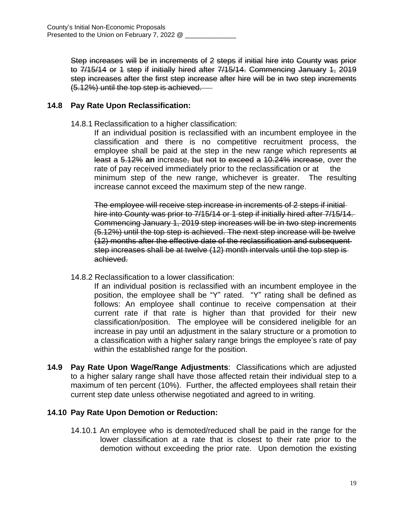Step increases will be in increments of 2 steps if initial hire into County was prior to 7/15/14 or 1 step if initially hired after 7/15/14. Commencing January 1, 2019 step increases after the first step increase after hire will be in two step increments (5.12%) until the top step is achieved.

## **14.8 Pay Rate Upon Reclassification:**

14.8.1 Reclassification to a higher classification:

If an individual position is reclassified with an incumbent employee in the classification and there is no competitive recruitment process, the employee shall be paid at the step in the new range which represents at least a 5.12% **an** increase, but not to exceed a 10.24% increase, over the rate of pay received immediately prior to the reclassification or at the minimum step of the new range, whichever is greater. The resulting increase cannot exceed the maximum step of the new range.

The employee will receive step increase in increments of 2 steps if initial hire into County was prior to 7/15/14 or 1 step if initially hired after 7/15/14. Commencing January 1, 2019 step increases will be in two step increments (5.12%) until the top step is achieved. The next step increase will be twelve (12) months after the effective date of the reclassification and subsequent step increases shall be at twelve (12) month intervals until the top step is achieved.

14.8.2 Reclassification to a lower classification:

If an individual position is reclassified with an incumbent employee in the position, the employee shall be "Y" rated. "Y" rating shall be defined as follows: An employee shall continue to receive compensation at their current rate if that rate is higher than that provided for their new classification/position. The employee will be considered ineligible for an increase in pay until an adjustment in the salary structure or a promotion to a classification with a higher salary range brings the employee's rate of pay within the established range for the position.

**14.9 Pay Rate Upon Wage/Range Adjustments**: Classifications which are adjusted to a higher salary range shall have those affected retain their individual step to a maximum of ten percent (10%). Further, the affected employees shall retain their current step date unless otherwise negotiated and agreed to in writing.

## **14.10 Pay Rate Upon Demotion or Reduction:**

14.10.1 An employee who is demoted/reduced shall be paid in the range for the lower classification at a rate that is closest to their rate prior to the demotion without exceeding the prior rate. Upon demotion the existing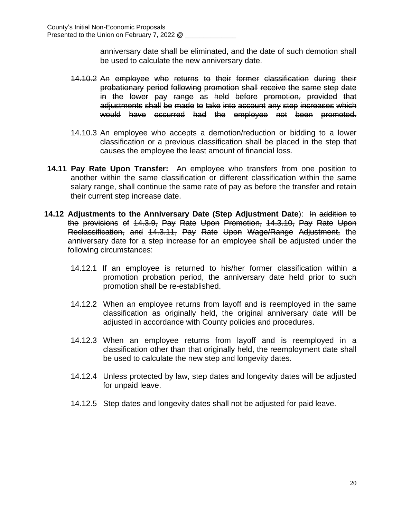anniversary date shall be eliminated, and the date of such demotion shall be used to calculate the new anniversary date.

- 14.10.2 An employee who returns to their former classification during their probationary period following promotion shall receive the same step date in the lower pay range as held before promotion, provided that adjustments shall be made to take into account any step increases which would have occurred had the employee not been promoted.
- 14.10.3 An employee who accepts a demotion/reduction or bidding to a lower classification or a previous classification shall be placed in the step that causes the employee the least amount of financial loss.
- **14.11 Pay Rate Upon Transfer:** An employee who transfers from one position to another within the same classification or different classification within the same salary range, shall continue the same rate of pay as before the transfer and retain their current step increase date.
- **14.12 Adjustments to the Anniversary Date (Step Adjustment Date**): In addition to the provisions of 14.3.9, Pay Rate Upon Promotion, 14.3.10, Pay Rate Upon Reclassification, and 14.3.11, Pay Rate Upon Wage/Range Adjustment, the anniversary date for a step increase for an employee shall be adjusted under the following circumstances:
	- 14.12.1 If an employee is returned to his/her former classification within a promotion probation period, the anniversary date held prior to such promotion shall be re-established.
	- 14.12.2 When an employee returns from layoff and is reemployed in the same classification as originally held, the original anniversary date will be adjusted in accordance with County policies and procedures.
	- 14.12.3 When an employee returns from layoff and is reemployed in a classification other than that originally held, the reemployment date shall be used to calculate the new step and longevity dates.
	- 14.12.4 Unless protected by law, step dates and longevity dates will be adjusted for unpaid leave.
	- 14.12.5 Step dates and longevity dates shall not be adjusted for paid leave.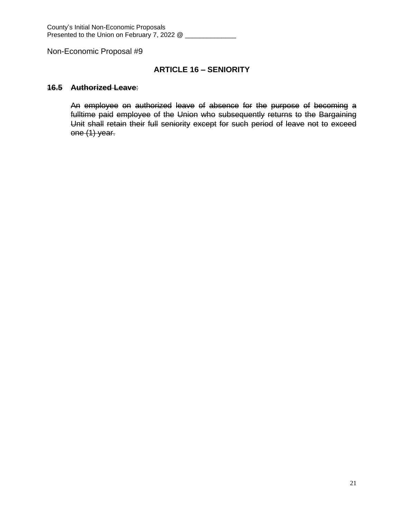## **ARTICLE 16 – SENIORITY**

#### **16.5 Authorized Leave**:

An employee on authorized leave of absence for the purpose of becoming a fulltime paid employee of the Union who subsequently returns to the Bargaining Unit shall retain their full seniority except for such period of leave not to exceed one (1) year.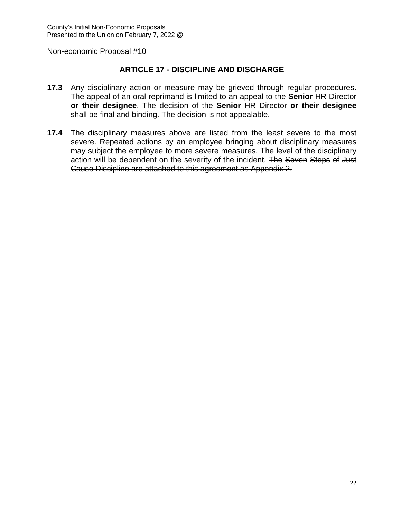## **ARTICLE 17 - DISCIPLINE AND DISCHARGE**

- **17.3** Any disciplinary action or measure may be grieved through regular procedures. The appeal of an oral reprimand is limited to an appeal to the **Senior** HR Director **or their designee**. The decision of the **Senior** HR Director **or their designee** shall be final and binding. The decision is not appealable.
- **17.4** The disciplinary measures above are listed from the least severe to the most severe. Repeated actions by an employee bringing about disciplinary measures may subject the employee to more severe measures. The level of the disciplinary action will be dependent on the severity of the incident. The Seven Steps of Just Cause Discipline are attached to this agreement as Appendix 2.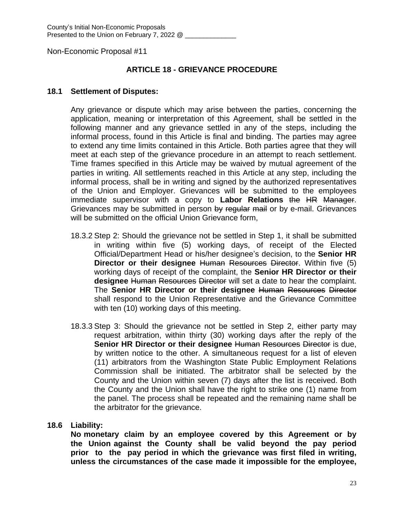## **ARTICLE 18 - GRIEVANCE PROCEDURE**

#### **18.1 Settlement of Disputes:**

Any grievance or dispute which may arise between the parties, concerning the application, meaning or interpretation of this Agreement, shall be settled in the following manner and any grievance settled in any of the steps, including the informal process, found in this Article is final and binding. The parties may agree to extend any time limits contained in this Article. Both parties agree that they will meet at each step of the grievance procedure in an attempt to reach settlement. Time frames specified in this Article may be waived by mutual agreement of the parties in writing. All settlements reached in this Article at any step, including the informal process, shall be in writing and signed by the authorized representatives of the Union and Employer. Grievances will be submitted to the employees immediate supervisor with a copy to **Labor Relations** the HR Manager. Grievances may be submitted in person by regular mail or by e-mail. Grievances will be submitted on the official Union Grievance form,

- 18.3.2 Step 2: Should the grievance not be settled in Step 1, it shall be submitted in writing within five (5) working days, of receipt of the Elected Official/Department Head or his/her designee's decision, to the **Senior HR Director or their designee** Human Resources Director. Within five (5) working days of receipt of the complaint, the **Senior HR Director or their designee** Human Resources Director will set a date to hear the complaint. The **Senior HR Director or their designee** Human Resources Director shall respond to the Union Representative and the Grievance Committee with ten (10) working days of this meeting.
- 18.3.3 Step 3: Should the grievance not be settled in Step 2, either party may request arbitration, within thirty (30) working days after the reply of the **Senior HR Director or their designee** Human Resources Director is due, by written notice to the other. A simultaneous request for a list of eleven (11) arbitrators from the Washington State Public Employment Relations Commission shall be initiated. The arbitrator shall be selected by the County and the Union within seven (7) days after the list is received. Both the County and the Union shall have the right to strike one (1) name from the panel. The process shall be repeated and the remaining name shall be the arbitrator for the grievance.

#### **18.6 Liability:**

**No monetary claim by an employee covered by this Agreement or by the Union against the County shall be valid beyond the pay period prior to the pay period in which the grievance was first filed in writing, unless the circumstances of the case made it impossible for the employee,**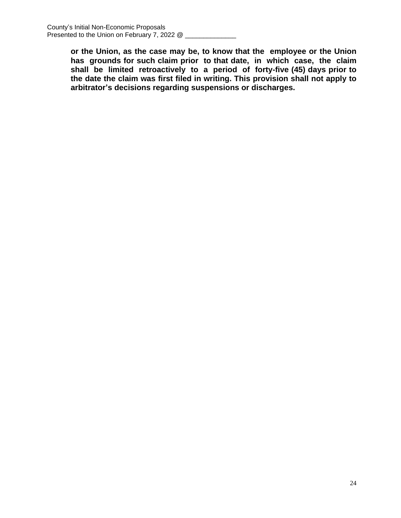**or the Union, as the case may be, to know that the employee or the Union has grounds for such claim prior to that date, in which case, the claim shall be limited retroactively to a period of forty-five (45) days prior to the date the claim was first filed in writing. This provision shall not apply to arbitrator's decisions regarding suspensions or discharges.**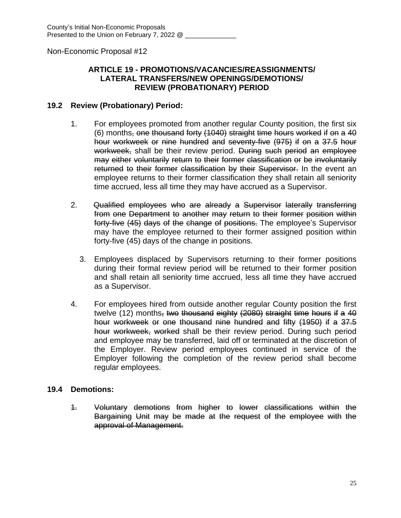## **ARTICLE 19 - PROMOTIONS/VACANCIES/REASSIGNMENTS/ LATERAL TRANSFERS/NEW OPENINGS/DEMOTIONS/ REVIEW (PROBATIONARY) PERIOD**

## **19.2 Review (Probationary) Period:**

- 1. For employees promoted from another regular County position, the first six (6) months, one thousand forty (1040) straight time hours worked if on a 40 hour workweek or nine hundred and seventy-five (975) if on a 37.5 hour workweek, shall be their review period. During such period an employee may either voluntarily return to their former classification or be involuntarily returned to their former classification by their Supervisor. In the event an employee returns to their former classification they shall retain all seniority time accrued, less all time they may have accrued as a Supervisor.
- 2. Qualified employees who are already a Supervisor laterally transferring from one Department to another may return to their former position within forty-five (45) days of the change of positions. The employee's Supervisor may have the employee returned to their former assigned position within forty-five (45) days of the change in positions.
	- 3. Employees displaced by Supervisors returning to their former positions during their formal review period will be returned to their former position and shall retain all seniority time accrued, less all time they have accrued as a Supervisor.
- 4. For employees hired from outside another regular County position the first twelve (12) months, two thousand eighty (2080) straight time hours if a 40 hour workweek or one thousand nine hundred and fifty (1950) if a 37.5 hour workweek, worked shall be their review period. During such period and employee may be transferred, laid off or terminated at the discretion of the Employer. Review period employees continued in service of the Employer following the completion of the review period shall become regular employees.

## **19.4 Demotions:**

1. Voluntary demotions from higher to lower classifications within the Bargaining Unit may be made at the request of the employee with the approval of Management.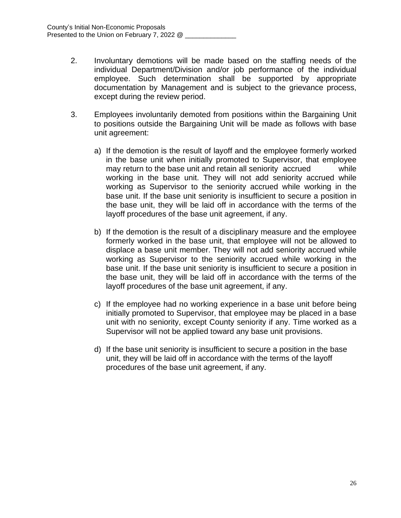- 2. Involuntary demotions will be made based on the staffing needs of the individual Department/Division and/or job performance of the individual employee. Such determination shall be supported by appropriate documentation by Management and is subject to the grievance process, except during the review period.
- 3. Employees involuntarily demoted from positions within the Bargaining Unit to positions outside the Bargaining Unit will be made as follows with base unit agreement:
	- a) If the demotion is the result of layoff and the employee formerly worked in the base unit when initially promoted to Supervisor, that employee may return to the base unit and retain all seniority accrued while working in the base unit. They will not add seniority accrued while working as Supervisor to the seniority accrued while working in the base unit. If the base unit seniority is insufficient to secure a position in the base unit, they will be laid off in accordance with the terms of the layoff procedures of the base unit agreement, if any.
	- b) If the demotion is the result of a disciplinary measure and the employee formerly worked in the base unit, that employee will not be allowed to displace a base unit member. They will not add seniority accrued while working as Supervisor to the seniority accrued while working in the base unit. If the base unit seniority is insufficient to secure a position in the base unit, they will be laid off in accordance with the terms of the layoff procedures of the base unit agreement, if any.
	- c) If the employee had no working experience in a base unit before being initially promoted to Supervisor, that employee may be placed in a base unit with no seniority, except County seniority if any. Time worked as a Supervisor will not be applied toward any base unit provisions.
	- d) If the base unit seniority is insufficient to secure a position in the base unit, they will be laid off in accordance with the terms of the layoff procedures of the base unit agreement, if any.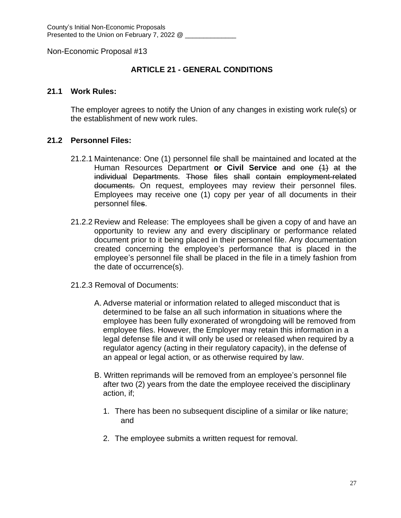## **ARTICLE 21 - GENERAL CONDITIONS**

#### **21.1 Work Rules:**

The employer agrees to notify the Union of any changes in existing work rule(s) or the establishment of new work rules.

#### **21.2 Personnel Files:**

- 21.2.1 Maintenance: One (1) personnel file shall be maintained and located at the Human Resources Department **or Civil Service** and one (1) at the individual Departments. Those files shall contain employment-related documents. On request, employees may review their personnel files. Employees may receive one (1) copy per year of all documents in their personnel files.
- 21.2.2 Review and Release: The employees shall be given a copy of and have an opportunity to review any and every disciplinary or performance related document prior to it being placed in their personnel file. Any documentation created concerning the employee's performance that is placed in the employee's personnel file shall be placed in the file in a timely fashion from the date of occurrence(s).
- 21.2.3 Removal of Documents:
	- A. Adverse material or information related to alleged misconduct that is determined to be false an all such information in situations where the employee has been fully exonerated of wrongdoing will be removed from employee files. However, the Employer may retain this information in a legal defense file and it will only be used or released when required by a regulator agency (acting in their regulatory capacity), in the defense of an appeal or legal action, or as otherwise required by law.
	- B. Written reprimands will be removed from an employee's personnel file after two (2) years from the date the employee received the disciplinary action, if;
		- 1. There has been no subsequent discipline of a similar or like nature; and
		- 2. The employee submits a written request for removal.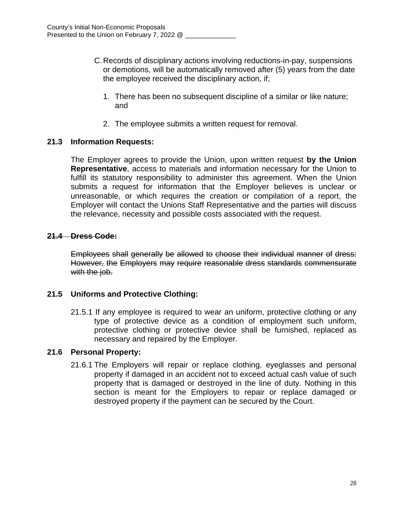- C.Records of disciplinary actions involving reductions-in-pay, suspensions or demotions, will be automatically removed after (5) years from the date the employee received the disciplinary action, if;
	- 1. There has been no subsequent discipline of a similar or like nature; and
	- 2. The employee submits a written request for removal.

## **21.3 Information Requests:**

The Employer agrees to provide the Union, upon written request **by the Union Representative**, access to materials and information necessary for the Union to fulfill its statutory responsibility to administer this agreement. When the Union submits a request for information that the Employer believes is unclear or unreasonable, or which requires the creation or compilation of a report, the Employer will contact the Unions Staff Representative and the parties will discuss the relevance, necessity and possible costs associated with the request.

## **21.4 Dress Code:**

Employees shall generally be allowed to choose their individual manner of dress: However, the Employers may require reasonable dress standards commensurate with the job.

## **21.5 Uniforms and Protective Clothing:**

21.5.1 If any employee is required to wear an uniform, protective clothing or any type of protective device as a condition of employment such uniform, protective clothing or protective device shall be furnished, replaced as necessary and repaired by the Employer.

## **21.6 Personal Property:**

21.6.1 The Employers will repair or replace clothing, eyeglasses and personal property if damaged in an accident not to exceed actual cash value of such property that is damaged or destroyed in the line of duty. Nothing in this section is meant for the Employers to repair or replace damaged or destroyed property if the payment can be secured by the Court.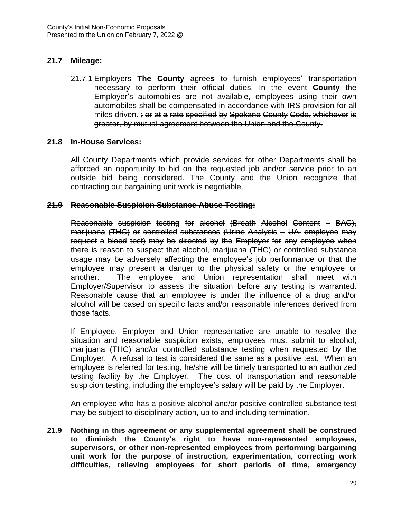## **21.7 Mileage:**

21.7.1 Employers **The County** agree**s** to furnish employees' transportation necessary to perform their official duties. In the event **County** the Employer's automobiles are not available, employees using their own automobiles shall be compensated in accordance with IRS provision for all miles driven**.** ; or at a rate specified by Spokane County Code, whichever is greater, by mutual agreement between the Union and the County.

## **21.8 In-House Services:**

All County Departments which provide services for other Departments shall be afforded an opportunity to bid on the requested job and/or service prior to an outside bid being considered. The County and the Union recognize that contracting out bargaining unit work is negotiable.

## **21.9 Reasonable Suspicion Substance Abuse Testing:**

Reasonable suspicion testing for alcohol (Breath Alcohol Content – BAC), marijuana (THC) or controlled substances (Urine Analysis – UA, employee may request a blood test) may be directed by the Employer for any employee when there is reason to suspect that alcohol, marijuana (THC) or controlled substance usage may be adversely affecting the employee's job performance or that the employee may present a danger to the physical safety or the employee or another. The employee and Union representation shall meet with Employer/Supervisor to assess the situation before any testing is warranted. Reasonable cause that an employee is under the influence of a drug and/or alcohol will be based on specific facts and/or reasonable inferences derived from those facts.

If Employee, Employer and Union representative are unable to resolve the situation and reasonable suspicion exists, employees must submit to alcohol, marijuana (THC) and/or controlled substance testing when requested by the Employer. A refusal to test is considered the same as a positive test. When an employee is referred for testing, he/she will be timely transported to an authorized testing facility by the Employer. The cost of transportation and reasonable suspicion testing, including the employee's salary will be paid by the Employer.

An employee who has a positive alcohol and/or positive controlled substance test may be subject to disciplinary action, up to and including termination.

**21.9 Nothing in this agreement or any supplemental agreement shall be construed to diminish the County's right to have non-represented employees, supervisors, or other non-represented employees from performing bargaining unit work for the purpose of instruction, experimentation, correcting work difficulties, relieving employees for short periods of time, emergency**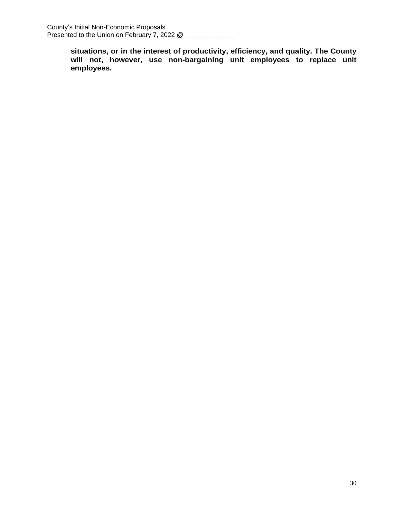**situations, or in the interest of productivity, efficiency, and quality. The County will not, however, use non-bargaining unit employees to replace unit employees.**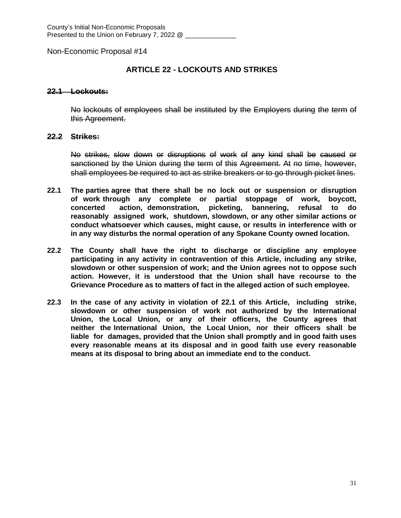## **ARTICLE 22 - LOCKOUTS AND STRIKES**

#### **22.1 Lockouts:**

No lockouts of employees shall be instituted by the Employers during the term of this Agreement.

#### **22.2 Strikes:**

No strikes, slow down or disruptions of work of any kind shall be caused or sanctioned by the Union during the term of this Agreement. At no time, however, shall employees be required to act as strike breakers or to go through picket lines.

- **22.1 The parties agree that there shall be no lock out or suspension or disruption of work through any complete or partial stoppage of work, boycott, concerted action, demonstration, picketing, bannering, refusal to do reasonably assigned work, shutdown, slowdown, or any other similar actions or conduct whatsoever which causes, might cause, or results in interference with or in any way disturbs the normal operation of any Spokane County owned location.**
- **22.2 The County shall have the right to discharge or discipline any employee participating in any activity in contravention of this Article, including any strike, slowdown or other suspension of work; and the Union agrees not to oppose such action. However, it is understood that the Union shall have recourse to the Grievance Procedure as to matters of fact in the alleged action of such employee.**
- **22.3 In the case of any activity in violation of 22.1 of this Article, including strike, slowdown or other suspension of work not authorized by the International Union, the Local Union, or any of their officers, the County agrees that neither the International Union, the Local Union, nor their officers shall be liable for damages, provided that the Union shall promptly and in good faith uses every reasonable means at its disposal and in good faith use every reasonable means at its disposal to bring about an immediate end to the conduct.**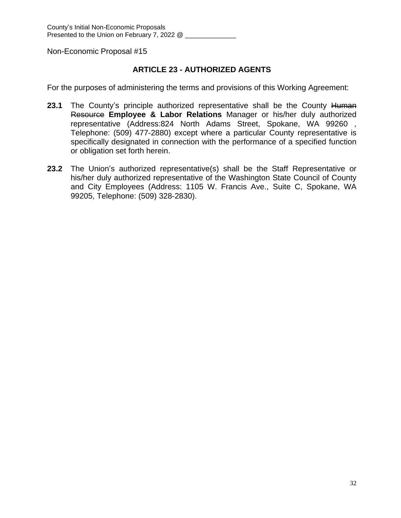## **ARTICLE 23 - AUTHORIZED AGENTS**

For the purposes of administering the terms and provisions of this Working Agreement:

- **23.1** The County's principle authorized representative shall be the County Human Resource **Employee & Labor Relations** Manager or his/her duly authorized representative (Address:824 North Adams Street, Spokane, WA 99260 , Telephone: (509) 477-2880) except where a particular County representative is specifically designated in connection with the performance of a specified function or obligation set forth herein.
- **23.2** The Union's authorized representative(s) shall be the Staff Representative or his/her duly authorized representative of the Washington State Council of County and City Employees (Address: 1105 W. Francis Ave., Suite C, Spokane, WA 99205, Telephone: (509) 328-2830).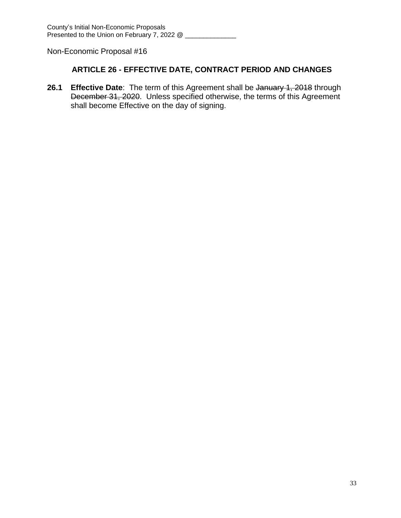## **ARTICLE 26 - EFFECTIVE DATE, CONTRACT PERIOD AND CHANGES**

**26.1 Effective Date**: The term of this Agreement shall be January 1, 2018 through December 31, 2020. Unless specified otherwise, the terms of this Agreement shall become Effective on the day of signing.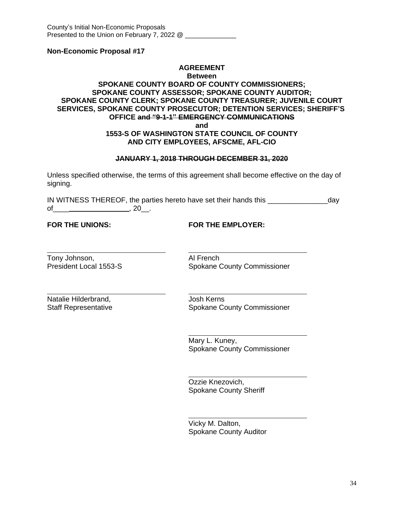#### **AGREEMENT**

#### **Between**

#### **SPOKANE COUNTY BOARD OF COUNTY COMMISSIONERS; SPOKANE COUNTY ASSESSOR; SPOKANE COUNTY AUDITOR; SPOKANE COUNTY CLERK; SPOKANE COUNTY TREASURER; JUVENILE COURT SERVICES, SPOKANE COUNTY PROSECUTOR; DETENTION SERVICES; SHERIFF'S OFFICE and "9-1-1" EMERGENCY COMMUNICATIONS and**

#### **1553-S OF WASHINGTON STATE COUNCIL OF COUNTY AND CITY EMPLOYEES, AFSCME, AFL-CIO**

#### **JANUARY 1, 2018 THROUGH DECEMBER 31, 2020**

Unless specified otherwise, the terms of this agreement shall become effective on the day of signing.

IN WITNESS THEREOF, the parties hereto have set their hands this \_\_\_\_\_\_\_\_\_\_\_\_\_\_\_day of\_\_\_\_ , 20\_\_.

 $\overline{a}$ 

 $\overline{a}$ 

**FOR THE UNIONS: FOR THE EMPLOYER:**

 $\overline{a}$ Tony Johnson,<br>
President Local 1553-S<br>
Al French Spokane C

Spokane County Commissioner

 $\overline{a}$ Natalie Hilderbrand, and a state of Josh Kerns

Staff Representative Spokane County Commissioner

Mary L. Kuney, Spokane County Commissioner

Ozzie Knezovich, Spokane County Sheriff

 $\overline{a}$ Vicky M. Dalton, Spokane County Auditor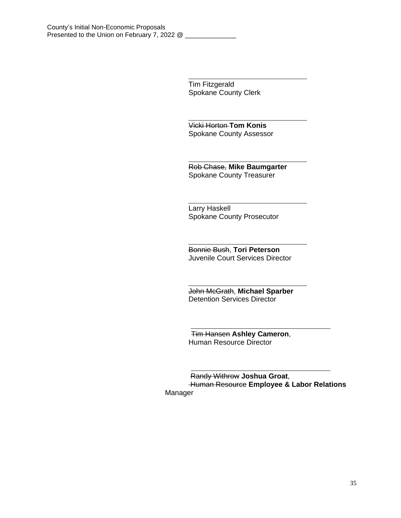Tim Fitzgerald Spokane County Clerk

 $\overline{a}$ 

 $\overline{a}$ 

 $\overline{a}$ 

 $\overline{a}$ 

Vicki Horton **Tom Konis** Spokane County Assessor

 $\overline{a}$ Rob Chase, **Mike Baumgarter** Spokane County Treasurer

 $\overline{a}$ Larry Haskell Spokane County Prosecutor

 $\overline{a}$ Bonnie Bush, **Tori Peterson** Juvenile Court Services Director

John McGrath, **Michael Sparber** Detention Services Director

 Tim Hansen **Ashley Cameron**, Human Resource Director

Randy Withrow **Joshua Groat**, Human Resource **Employee & Labor Relations**  Manager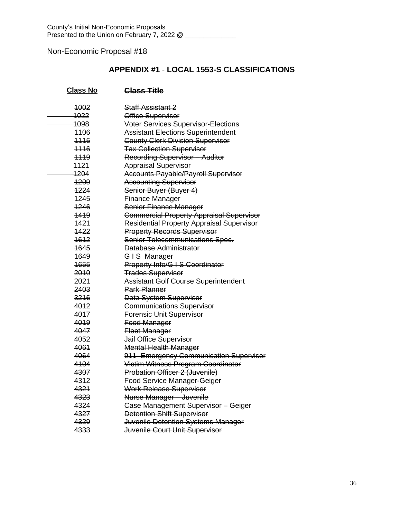## **APPENDIX #1** - **LOCAL 1553-S CLASSIFICATIONS**

| <b>Class No</b> | Class Title                                      |
|-----------------|--------------------------------------------------|
| 4002            | <del>Staff Assistant 2</del>                     |
| 1022            | Office Supervisor                                |
| 1098            | <b>Voter Services Supervisor-Elections</b>       |
| 4406            | <b>Assistant Elections Superintendent</b>        |
| 1115            | <b>County Clerk Division Supervisor</b>          |
| 4446            | <b>Tax Collection Supervisor</b>                 |
| 1119            | <b>Recording Supervisor - Auditor</b>            |
| 1121            | <b>Appraisal Supervisor</b>                      |
| 1204            | <b>Accounts Payable/Payroll Supervisor</b>       |
| 1209            | <b>Accounting Supervisor</b>                     |
| 1224            | Senior Buyer (Buyer 4)                           |
| 1245            | <b>Finance Manager</b>                           |
| 1246            | Senior Finance Manager                           |
| 1419            | <b>Commercial Property Appraisal Supervisor</b>  |
| 1421            | <b>Residential Property Appraisal Supervisor</b> |
| 1422            | <b>Property Records Supervisor</b>               |
| 1612            | <b>Senior Telecommunications Spec.</b>           |
| 1645            | Database Administrator                           |
| 1649            | GIS Manager                                      |
| 1655            | Property Info/G I S Coordinator                  |
| 2010            | <b>Trades Supervisor</b>                         |
| 2021            | <b>Assistant Golf Course Superintendent</b>      |
| 2403            | <b>Park Planner</b>                              |
| 3216            | Data System Supervisor                           |
| 4012            | <b>Communications Supervisor</b>                 |
| 4017            | Forensic Unit Supervisor                         |
| 4019            | Food Manager                                     |
| 4047            | <b>Fleet Manager</b>                             |
| 4052            | Jail Office Supervisor                           |
| 4061            | <b>Mental Health Manager</b>                     |
| 4064            | 911- Emergency Communication Supervisor          |
| 4104            | Victim Witness Program Coordinator               |
| 4307            | Probation Officer 2 (Juvenile)                   |
| 4312            | <b>Food Service Manager-Geiger</b>               |
| 4321            | Work Release Supervisor                          |
| 4323            | Nurse Manager - Juvenile                         |
| 4324            | <b>Case Management Supervisor - Geiger</b>       |
| 4327            | <b>Detention Shift Supervisor</b>                |
| 4329            | Juvenile Detention Systems Manager               |
| 4333            | Juvenile Court Unit Supervisor                   |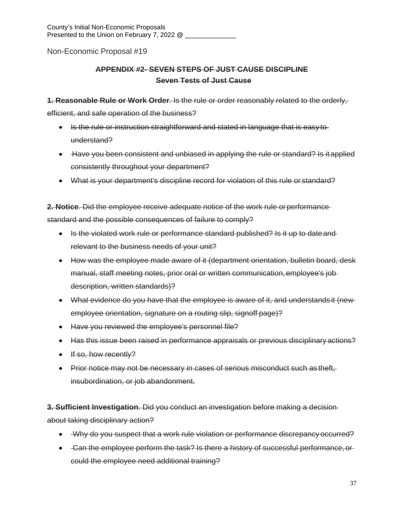# **APPENDIX #2- SEVEN STEPS OF JUST CAUSE DISCIPLINE Seven Tests of Just Cause**

**1. Reasonable Rule or Work Order**. Is the rule or order reasonably related to the orderly,

efficient, and safe operation of the business?

- Is the rule or instruction straightforward and stated in language that is easy to understand?
- Have you been consistent and unbiased in applying the rule or standard? Is it applied consistently throughout your department?
- What is your department's discipline record for violation of this rule or standard?

**2. Notice**. Did the employee receive adequate notice of the work rule or performance standard and the possible consequences of failure to comply?

- Is the violated work rule or performance standard published? Is it up to date and relevant to the business needs of your unit?
- How was the employee made aware of it (department orientation, bulletin board, desk manual, staff meeting notes, prior oral or written communication, employee's job description, written standards)?
- What evidence do you have that the employee is aware of it, and understands it (newemployee orientation, signature on a routing slip, signoff page)?
- Have you reviewed the employee's personnel file?
- Has this issue been raised in performance appraisals or previous disciplinary actions?
- $\cdot$  If so, how recently?
- Prior notice may not be necessary in cases of serious misconduct such as theft, insubordination, or job abandonment.

**3. Sufficient Investigation**. Did you conduct an investigation before making a decision about taking disciplinary action?

- Why do you suspect that a work rule violation or performance discrepancy occurred?
- Gan the employee perform the task? Is there a history of successful performance, orcould the employee need additional training?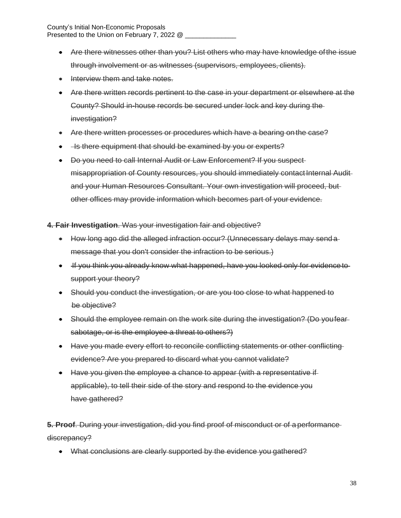- Are there witnesses other than you? List others who may have knowledge ofthe issue through involvement or as witnesses (supervisors, employees, clients).
- Interview them and take notes.
- Are there written records pertinent to the case in your department or elsewhere at the County? Should in-house records be secured under lock and key during the investigation?
- Are there written processes or procedures which have a bearing on the case?
- He there equipment that should be examined by you or experts?
- Do you need to call Internal Audit or Law Enforcement? If you suspect misappropriation of County resources, you should immediately contact Internal Auditand your Human Resources Consultant. Your own investigation will proceed, but other offices may provide information which becomes part of your evidence.

**4. Fair Investigation**. Was your investigation fair and objective?

- How long ago did the alleged infraction occur? (Unnecessary delays may send a message that you don't consider the infraction to be serious.)
- If you think you already know what happened, have you looked only for evidence tosupport your theory?
- Should you conduct the investigation, or are you too close to what happened to be objective?
- Should the employee remain on the work site during the investigation? (Do youfear sabotage, or is the employee a threat to others?)
- Have you made every effort to reconcile conflicting statements or other conflicting evidence? Are you prepared to discard what you cannot validate?
- Have you given the employee a chance to appear (with a representative if applicable), to tell their side of the story and respond to the evidence you have gathered?

**5. Proof**. During your investigation, did you find proof of misconduct or of a performance discrepancy?

• What conclusions are clearly supported by the evidence you gathered?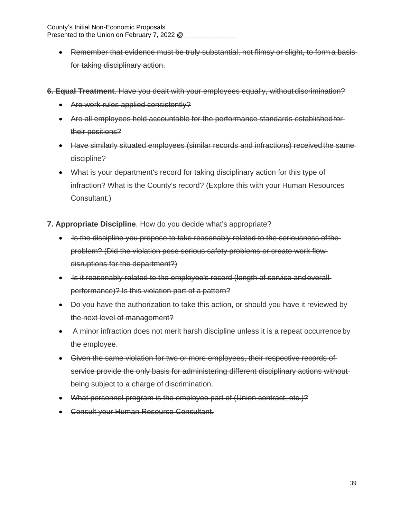• Remember that evidence must be truly substantial, not flimsy or slight, to form a basisfor taking disciplinary action.

**6. Equal Treatment**. Have you dealt with your employees equally, without discrimination?

- Are work rules applied consistently?
- Are all employees held accountable for the performance standards established for their positions?
- Have similarly situated employees (similar records and infractions) receivedthe same discipline?
- What is your department's record for taking disciplinary action for this type of infraction? What is the County's record? (Explore this with your Human Resources Consultant.)

#### **7. Appropriate Discipline**. How do you decide what's appropriate?

- Is the discipline you propose to take reasonably related to the seriousness of the problem? (Did the violation pose serious safety problems or create work flow disruptions for the department?)
- Is it reasonably related to the employee's record (length of service and overallperformance)? Is this violation part of a pattern?
- Do you have the authorization to take this action, or should you have it reviewed by the next level of management?
- A minor infraction does not merit harsh discipline unless it is a repeat occurrenceby the employee.
- Given the same violation for two or more employees, their respective records of service provide the only basis for administering different disciplinary actions without being subject to a charge of discrimination.
- What personnel program is the employee part of (Union contract, etc.)?
- Consult your Human Resource Consultant.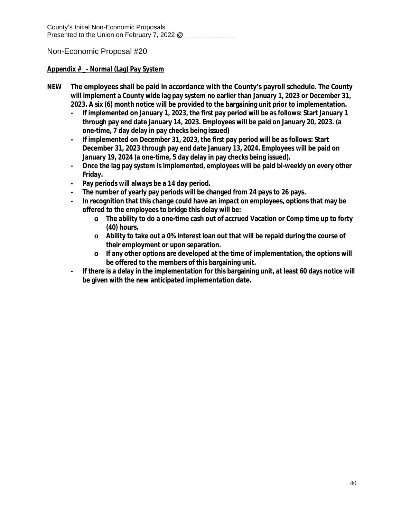## **Appendix # \_- Normal (Lag) Pay System**

- **NEW The employees shall be paid in accordance with the County's payroll schedule. The County will implement a County wide lag pay system no earlier than January 1, 2023 or December 31, 2023. A six (6) month notice will be provided to the bargaining unit prior to implementation.**
	- **- If implemented on January 1, 2023, the first pay period will be as follows: Start January 1 through pay end date January 14, 2023. Employees will be paid on January 20, 2023. (a one-time, 7 day delay in pay checks being issued)**
	- **- If implemented on December 31, 2023, the first pay period will be as follows: Start December 31, 2023 through pay end date January 13, 2024. Employees will be paid on January 19, 2024 (a one-time, 5 day delay in pay checks being issued).**
	- **- Once the lag pay system is implemented, employees will be paid bi-weekly on every other Friday.**
	- **- Pay periods will always be a 14 day period.**
	- **- The number of yearly pay periods will be changed from 24 pays to 26 pays.**
	- **- In recognition that this change could have an impact on employees, options that may be offered to the employees to bridge this delay will be:**
		- **o The ability to do a one-time cash out of accrued Vacation or Comp time up to forty (40) hours.**
		- **o Ability to take out a 0% interest loan out that will be repaid during the course of their employment or upon separation.**
		- **o If any other options are developed at the time of implementation, the options will be offered to the members of this bargaining unit.**
	- **- If there is a delay in the implementation for this bargaining unit, at least 60 days notice will be given with the new anticipated implementation date.**